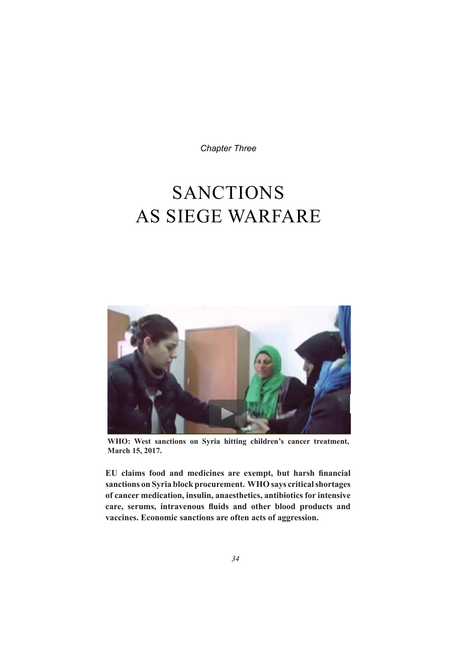**Chapter Three** 

# **SANCTIONS AS SIEGE WARFARE**



WHO: West sanctions on Syria hitting children's cancer treatment, March 15, 2017.

EU claims food and medicines are exempt, but harsh financial sanctions on Syria block procurement. WHO says critical shortages of cancer medication, insulin, anaesthetics, antibiotics for intensive care, serums, intravenous fluids and other blood products and vaccines. Economic sanctions are often acts of aggression.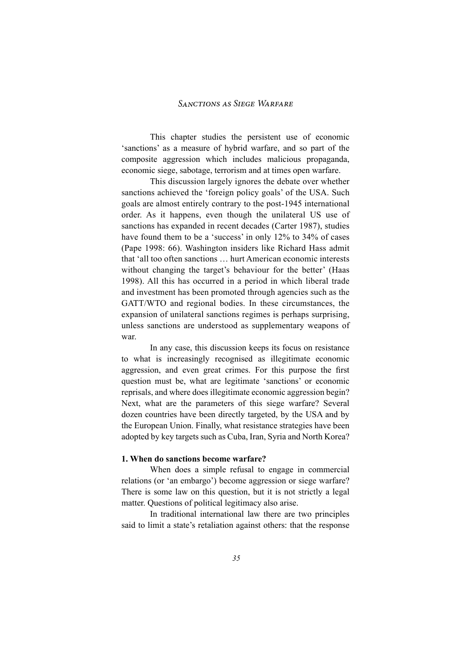This chapter studies the persistent use of economic 'sanctions' as a measure of hybrid warfare, and so part of the composite aggression which includes malicious propaganda, economic siege, sabotage, terrorism and at times open warfare.

This discussion largely ignores the debate over whether sanctions achieved the 'foreign policy goals' of the USA. Such goals are almost entirely contrary to the post-1945 international order. As it happens, even though the unilateral US use of sanctions has expanded in recent decades (Carter 1987), studies have found them to be a 'success' in only 12% to 34% of cases (Pape 1998: 66). Washington insiders like Richard Hass admit that 'all too often sanctions … hurt American economic interests without changing the target's behaviour for the better' (Haas 1998). All this has occurred in a period in which liberal trade and investment has been promoted through agencies such as the GATT/WTO and regional bodies. In these circumstances, the expansion of unilateral sanctions regimes is perhaps surprising, unless sanctions are understood as supplementary weapons of war.

In any case, this discussion keeps its focus on resistance to what is increasingly recognised as illegitimate economic aggression, and even great crimes. For this purpose the first question must be, what are legitimate 'sanctions' or economic reprisals, and where does illegitimate economic aggression begin? Next, what are the parameters of this siege warfare? Several dozen countries have been directly targeted, by the USA and by the European Union. Finally, what resistance strategies have been adopted by key targets such as Cuba, Iran, Syria and North Korea?

#### **1. When do sanctions become warfare?**

When does a simple refusal to engage in commercial relations (or 'an embargo') become aggression or siege warfare? There is some law on this question, but it is not strictly a legal matter. Questions of political legitimacy also arise.

In traditional international law there are two principles said to limit a state's retaliation against others: that the response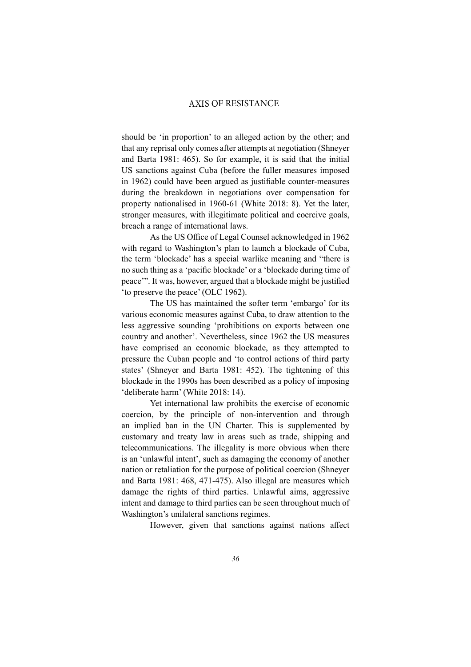#### ----- -- - - ---AXIS OF RESISTANCE

should be 'in proportion' to an alleged action by the other; and that any reprisal only comes after attempts at negotiation (Shneyer and Barta 1981: 465). So for example, it is said that the initial US sanctions against Cuba (before the fuller measures imposed in 1962) could have been argued as justifiable counter-measures during the breakdown in negotiations over compensation for property nationalised in 1960-61 (White 2018: 8). Yet the later, stronger measures, with illegitimate political and coercive goals, breach a range of international laws.

As the US Office of Legal Counsel acknowledged in 1962 with regard to Washington's plan to launch a blockade of Cuba, the term 'blockade' has a special warlike meaning and "there is no such thing as a 'pacific blockade' or a 'blockade during time of peace"". It was, however, argued that a blockade might be justified 'to preserve the peace' (OLC 1962).

The US has maintained the softer term 'embargo' for its various economic measures against Cuba, to draw attention to the less aggressive sounding 'prohibitions on exports between one country and another'. Nevertheless, since 1962 the US measures have comprised an economic blockade, as they attempted to pressure the Cuban people and 'to control actions of third party states' (Shneyer and Barta 1981: 452). The tightening of this blockade in the 1990s has been described as a policy of imposing 'deliberate harm' (White 2018: 14).

Yet international law prohibits the exercise of economic coercion, by the principle of non-intervention and through an implied ban in the UN Charter. This is supplemented by customary and treaty law in areas such as trade, shipping and telecommunications. The illegality is more obvious when there is an 'unlawful intent', such as damaging the economy of another nation or retaliation for the purpose of political coercion (Shneyer and Barta 1981: 468, 471-475). Also illegal are measures which damage the rights of third parties. Unlawful aims, aggressive intent and damage to third parties can be seen throughout much of Washington's unilateral sanctions regimes.

However, given that sanctions against nations affect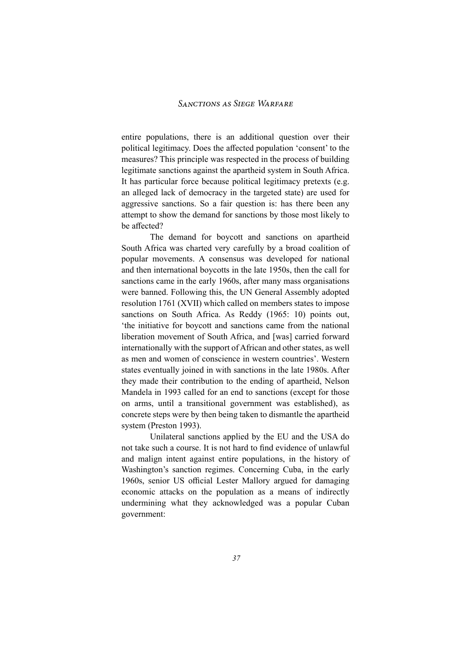entire populations, there is an additional question over their political legitimacy. Does the affected population 'consent' to the measures? This principle was respected in the process of building legitimate sanctions against the apartheid system in South Africa. It has particular force because political legitimacy pretexts (e.g. an alleged lack of democracy in the targeted state) are used for aggressive sanctions. So a fair question is: has there been any attempt to show the demand for sanctions by those most likely to be affected?

The demand for boycott and sanctions on apartheid South Africa was charted very carefully by a broad coalition of popular movements. A consensus was developed for national and then international boycotts in the late 1950s, then the call for sanctions came in the early 1960s, after many mass organisations were banned. Following this, the UN General Assembly adopted resolution 1761 (XVII) which called on members states to impose sanctions on South Africa. As Reddy  $(1965: 10)$  points out, 'the initiative for boycott and sanctions came from the national liberation movement of South Africa, and [was] carried forward internationally with the support of African and other states, as well as men and women of conscience in western countries'. Western states eventually joined in with sanctions in the late 1980s. After they made their contribution to the ending of apartheid, Nelson Mandela in 1993 called for an end to sanctions (except for those on arms, until a transitional government was established), as concrete steps were by then being taken to dismantle the apartheid system (Preston 1993).

Unilateral sanctions applied by the EU and the USA do not take such a course. It is not hard to find evidence of unlawful and malign intent against entire populations, in the history of Washington's sanction regimes. Concerning Cuba, in the early 1960s, senior US official Lester Mallory argued for damaging economic attacks on the population as a means of indirectly undermining what they acknowledged was a popular Cuban government: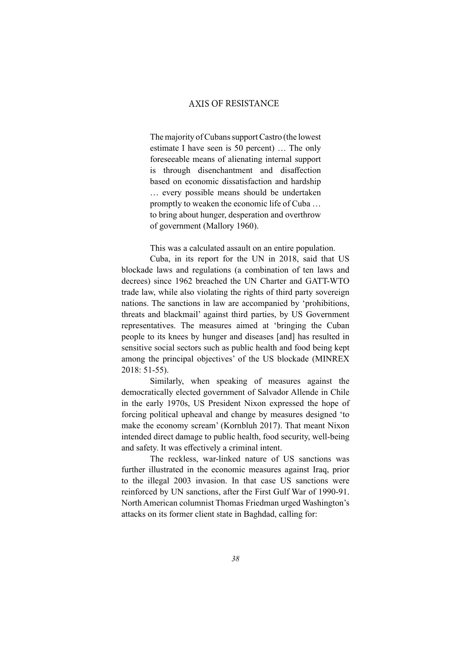The majority of Cubans support Castro (the lowest estimate I have seen is 50 percent) ... The only foreseeable means of alienating internal support is through disenchantment and disaffection based on economic dissatisfaction and hardship … every possible means should be undertaken promptly to weaken the economic life of Cuba … to bring about hunger, desperation and overthrow of government (Mallory 1960).

This was a calculated assault on an entire population.

Cuba, in its report for the UN in 2018, said that US blockade laws and regulations (a combination of ten laws and decrees) since 1962 breached the UN Charter and GATT-WTO trade law, while also violating the rights of third party sovereign nations. The sanctions in law are accompanied by 'prohibitions, threats and blackmail' against third parties, by US Government representatives. The measures aimed at 'bringing the Cuban people to its knees by hunger and diseases [and] has resulted in sensitive social sectors such as public health and food being kept among the principal objectives' of the US blockade (MINREX  $2018:51-55$ ).

Similarly, when speaking of measures against the democratically elected government of Salvador Allende in Chile in the early 1970s, US President Nixon expressed the hope of forcing political upheaval and change by measures designed 'to make the economy scream' (Kornbluh 2017). That meant Nixon intended direct damage to public health, food security, well-being and safety. It was effectively a criminal intent.

The reckless, war-linked nature of US sanctions was further illustrated in the economic measures against Iraq, prior to the illegal 2003 invasion. In that case US sanctions were reinforced by UN sanctions, after the First Gulf War of 1990-91. North American columnist Thomas Friedman urged Washington's attacks on its former client state in Baghdad, calling for: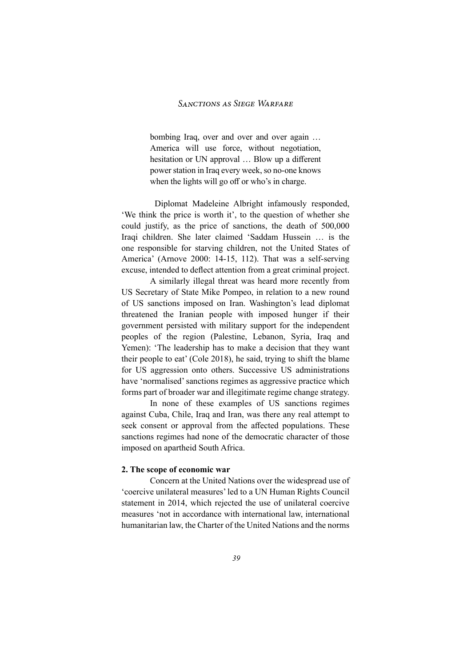bombing Iraq, over and over and over again … America will use force, without negotiation, hesitation or UN approval ... Blow up a different power station in Iraq every week, so no-one knows when the lights will go off or who's in charge.

Diplomat Madeleine Albright infamously responded, 'We think the price is worth it', to the question of whether she could justify, as the price of sanctions, the death of  $500,000$ Iraqi children. She later claimed 'Saddam Hussein ... is the one responsible for starving children, not the United States of America' (Arnove 2000: 14-15, 112). That was a self-serving excuse, intended to deflect attention from a great criminal project.

A similarly illegal threat was heard more recently from US Secretary of State Mike Pompeo, in relation to a new round of US sanctions imposed on Iran. Washington's lead diplomat threatened the Iranian people with imposed hunger if their government persisted with military support for the independent peoples of the region (Palestine, Lebanon, Syria, Iraq and Yemen): 'The leadership has to make a decision that they want their people to eat' (Cole 2018), he said, trying to shift the blame for US aggression onto others. Successive US administrations have 'normalised' sanctions regimes as aggressive practice which forms part of broader war and illegitimate regime change strategy.

In none of these examples of US sanctions regimes against Cuba, Chile, Iraq and Iran, was there any real attempt to seek consent or approval from the affected populations. These sanctions regimes had none of the democratic character of those imposed on apartheid South Africa.

#### **2. The scope of economic war**

Concern at the United Nations over the widespread use of 'coercive unilateral measures' led to a UN Human Rights Council statement in 2014, which rejected the use of unilateral coercive measures 'not in accordance with international law, international humanitarian law, the Charter of the United Nations and the norms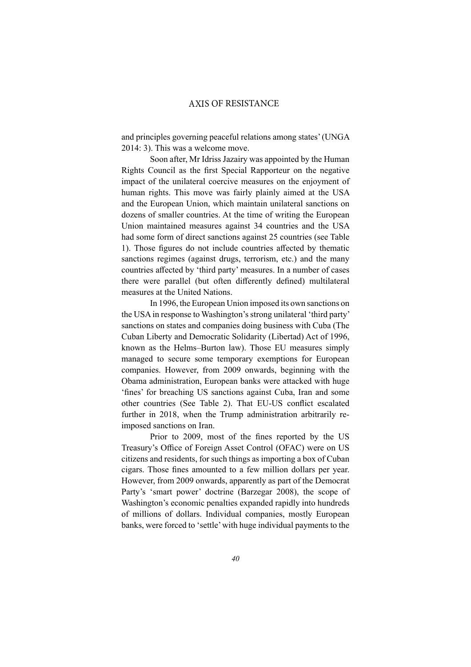and principles governing peaceful relations among states' (UNGA) 2014: 3). This was a welcome move.

Soon after, Mr Idriss Jazairy was appointed by the Human Rights Council as the first Special Rapporteur on the negative impact of the unilateral coercive measures on the enjoyment of human rights. This move was fairly plainly aimed at the USA and the European Union, which maintain unilateral sanctions on dozens of smaller countries. At the time of writing the European Union maintained measures against 34 countries and the USA had some form of direct sanctions against 25 countries (see Table 1). Those figures do not include countries affected by thematic sanctions regimes (against drugs, terrorism, etc.) and the many countries affected by 'third party' measures. In a number of cases there were parallel (but often differently defined) multilateral measures at the United Nations.

In 1996, the European Union imposed its own sanctions on the USA in response to Washington's strong unilateral 'third party' sanctions on states and companies doing business with Cuba (The Cuban Liberty and Democratic Solidarity (Libertad) Act of 1996, known as the Helms-Burton law). Those EU measures simply managed to secure some temporary exemptions for European companies. However, from 2009 onwards, beginning with the Obama administration, European banks were attacked with huge 'fines' for breaching US sanctions against Cuba, Iran and some other countries (See Table 2). That EU-US conflict escalated further in 2018, when the Trump administration arbitrarily reimposed sanctions on Iran.

Prior to 2009, most of the fines reported by the US Treasury's Office of Foreign Asset Control (OFAC) were on US citizens and residents, for such things as importing a box of Cuban cigars. Those fines amounted to a few million dollars per year. However, from 2009 onwards, apparently as part of the Democrat Party's 'smart power' doctrine (Barzegar 2008), the scope of Washington's economic penalties expanded rapidly into hundreds of millions of dollars. Individual companies, mostly European banks, were forced to 'settle' with huge individual payments to the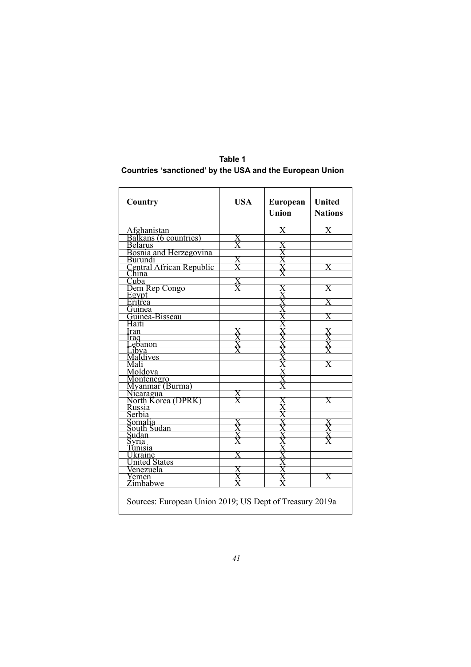# Table 1 Countries 'sanctioned' by the USA and the European Union

| Country                                                 | <b>USA</b> | European<br>Union | <b>United</b><br><b>Nations</b> |
|---------------------------------------------------------|------------|-------------------|---------------------------------|
| Afghanistan                                             |            | $\rm X$           | $\overline{\text{X}}$           |
| Balkans (6 countries)                                   |            |                   |                                 |
| <b>Belarus</b>                                          |            |                   |                                 |
| Bosnia and Herzegovina<br>Burundi                       |            |                   |                                 |
|                                                         |            |                   |                                 |
| Central African Republic<br>China                       |            |                   |                                 |
|                                                         |            |                   |                                 |
| Cuba                                                    | X          |                   |                                 |
| Dem Rep Congo                                           |            |                   |                                 |
| Egypt<br>Eritrea                                        |            |                   |                                 |
|                                                         |            |                   |                                 |
| Guinea                                                  |            |                   |                                 |
| Guinea-Bisseau                                          |            |                   |                                 |
| Haiti                                                   |            |                   |                                 |
| ran                                                     |            |                   |                                 |
| raq                                                     |            |                   |                                 |
| ebanon                                                  |            |                   |                                 |
| ibva                                                    |            |                   |                                 |
| Maldives                                                |            |                   |                                 |
|                                                         |            |                   |                                 |
| Moldova                                                 |            |                   |                                 |
| Montenegro<br>Myanmar (Burma)                           |            |                   |                                 |
|                                                         |            |                   |                                 |
| Nicaragua                                               |            |                   |                                 |
| North Korea (DPRK)                                      |            |                   |                                 |
| Russia                                                  |            |                   |                                 |
| Serbia                                                  |            |                   |                                 |
| Somalia<br>South Sudan                                  |            |                   |                                 |
|                                                         |            |                   |                                 |
| Sudan                                                   |            |                   |                                 |
| svria.                                                  |            |                   |                                 |
| Tunisia                                                 |            |                   |                                 |
| Ukraine                                                 |            |                   |                                 |
| <b>United States</b>                                    |            |                   |                                 |
| Venezuela                                               |            |                   |                                 |
| Yemen<br>Zimbabwe                                       |            |                   |                                 |
|                                                         |            |                   |                                 |
| Sources: European Union 2019; US Dept of Treasury 2019a |            |                   |                                 |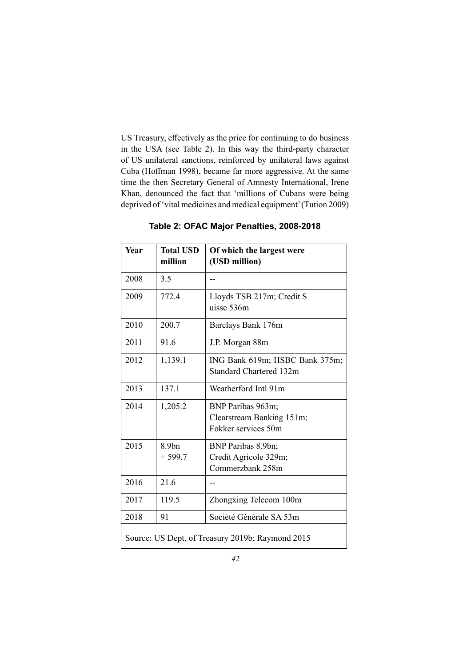US Treasury, effectively as the price for continuing to do business in the USA (see Table 2). In this way the third-party character of US unilateral sanctions, reinforced by unilateral laws against Cuba (Hoffman 1998), became far more aggressive. At the same time the then Secretary General of Amnesty International, Irene Khan, denounced the fact that 'millions of Cubans were being deprived of 'vital medicines and medical equipment' (Tution 2009)

| Year                                             | <b>Total USD</b><br>million | Of which the largest were<br>(USD million)                            |
|--------------------------------------------------|-----------------------------|-----------------------------------------------------------------------|
|                                                  |                             |                                                                       |
| 2008                                             | 3.5                         |                                                                       |
| 2009                                             | 772.4                       | Lloyds TSB 217m; Credit S<br>uisse 536m                               |
| 2010                                             | 200.7                       | Barclays Bank 176m                                                    |
| 2011                                             | 91.6                        | J.P. Morgan 88m                                                       |
| 2012                                             | 1,139.1                     | ING Bank 619m; HSBC Bank 375m;<br>Standard Chartered 132m             |
| 2013                                             | 137.1                       | Weatherford Intl 91m                                                  |
| 2014                                             | 1,205.2                     | BNP Paribas 963m;<br>Clearstream Banking 151m;<br>Fokker services 50m |
| 2015                                             | 8.9bn<br>$+599.7$           | BNP Paribas 8.9bn;<br>Credit Agricole 329m;<br>Commerzbank 258m       |
| 2016                                             | 21.6                        |                                                                       |
| 2017                                             | 119.5                       | Zhongxing Telecom 100m                                                |
| 2018                                             | 91                          | Société Générale SA 53m                                               |
| Source: US Dept. of Treasury 2019b; Raymond 2015 |                             |                                                                       |

**Table 2: OFAC Major Penalties, 2008-2018**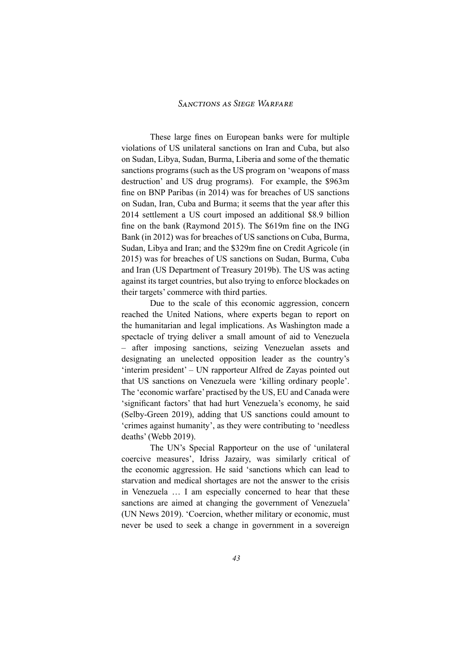These large fines on European banks were for multiple violations of US unilateral sanctions on Iran and Cuba, but also on Sudan, Libya, Sudan, Burma, Liberia and some of the thematic sanctions programs (such as the US program on 'weapons of mass destruction' and US drug programs). For example, the \$963m fine on BNP Paribas (in  $2014$ ) was for breaches of US sanctions on Sudan, Iran, Cuba and Burma; it seems that the year after this 2014 settlement a US court imposed an additional \$8.9 billion fine on the bank (Raymond 2015). The  $$619m$  fine on the ING Bank (in 2012) was for breaches of US sanctions on Cuba, Burma, Sudan, Libya and Iran; and the \$329m fine on Credit Agricole (in 2015) was for breaches of US sanctions on Sudan, Burma, Cuba and Iran (US Department of Treasury 2019b). The US was acting against its target countries, but also trying to enforce blockades on their targets' commerce with third parties.

Due to the scale of this economic aggression, concern reached the United Nations, where experts began to report on the humanitarian and legal implications. As Washington made a spectacle of trying deliver a small amount of aid to Venezuela - after imposing sanctions, seizing Venezuelan assets and designating an unelected opposition leader as the country's  $'$ interim president' – UN rapporteur Alfred de Zayas pointed out that US sanctions on Venezuela were 'killing ordinary people'. The 'economic warfare' practised by the US, EU and Canada were 'significant factors' that had hurt Venezuela's economy, he said (Selby-Green 2019), adding that US sanctions could amount to 'crimes against humanity', as they were contributing to 'needless deaths' (Webb 2019).

The UN's Special Rapporteur on the use of 'unilateral coercive measures', Idriss Jazairy, was similarly critical of the economic aggression. He said 'sanctions which can lead to starvation and medical shortages are not the answer to the crisis in Venezuela ... I am especially concerned to hear that these sanctions are aimed at changing the government of Venezuela' (UN News 2019). 'Coercion, whether military or economic, must never be used to seek a change in government in a sovereign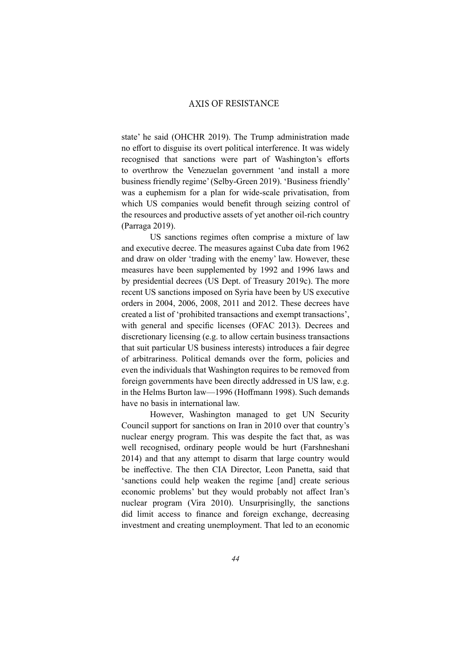state' he said (OHCHR 2019). The Trump administration made no effort to disguise its overt political interference. It was widely recognised that sanctions were part of Washington's efforts to overthrow the Venezuelan government 'and install a more business friendly regime' (Selby-Green 2019). 'Business friendly' was a euphemism for a plan for wide-scale privatisation, from which US companies would benefit through seizing control of the resources and productive assets of yet another oil-rich country (Parraga 2019).

US sanctions regimes often comprise a mixture of law and executive decree. The measures against Cuba date from 1962 and draw on older 'trading with the enemy' law. However, these measures have been supplemented by 1992 and 1996 laws and by presidential decrees (US Dept. of Treasury 2019c). The more recent US sanctions imposed on Syria have been by US executive orders in 2004, 2006, 2008, 2011 and 2012. These decrees have created a list of 'prohibited transactions and exempt transactions', with general and specific licenses (OFAC 2013). Decrees and discretionary licensing (e.g. to allow certain business transactions that suit particular US business interests) introduces a fair degree of arbitrariness. Political demands over the form, policies and even the individuals that Washington requires to be removed from foreign governments have been directly addressed in US law, e.g. in the Helms Burton law—1996 (Hoffmann 1998). Such demands have no basis in international law.

However, Washington managed to get UN Security Council support for sanctions on Iran in 2010 over that country's nuclear energy program. This was despite the fact that, as was well recognised, ordinary people would be hurt (Farshneshani  $2014$ ) and that any attempt to disarm that large country would be ineffective. The then CIA Director, Leon Panetta, said that 'sanctions could help weaken the regime [and] create serious economic problems' but they would probably not affect Iran's nuclear program (Vira 2010). Unsurprisinglly, the sanctions did limit access to finance and foreign exchange, decreasing investment and creating unemployment. That led to an economic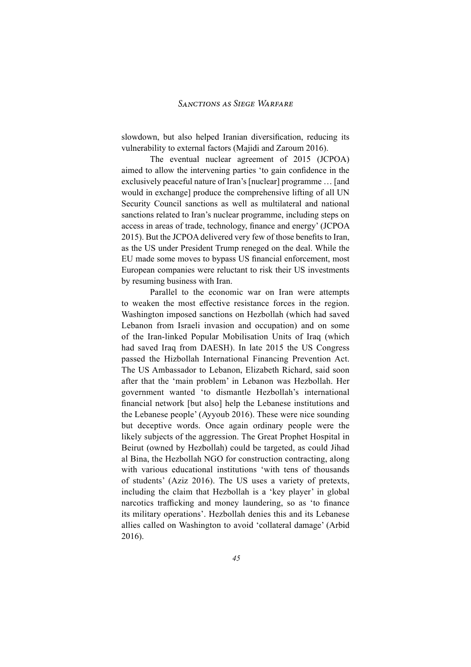slowdown, but also helped Iranian diversification, reducing its vulnerability to external factors (Majidi and Zaroum 2016).

The eventual nuclear agreement of 2015 (JCPOA) aimed to allow the intervening parties 'to gain confidence in the exclusively peaceful nature of Iran's [nuclear] programme ... [and would in exchange] produce the comprehensive lifting of all UN Security Council sanctions as well as multilateral and national sanctions related to Iran's nuclear programme, including steps on access in areas of trade, technology, finance and energy' (JCPOA 2015). But the JCPOA delivered very few of those benefits to Iran, as the US under President Trump reneged on the deal. While the EU made some moves to bypass US financial enforcement, most European companies were reluctant to risk their US investments by resuming business with Iran.

Parallel to the economic war on Iran were attempts to weaken the most effective resistance forces in the region. Washington imposed sanctions on Hezbollah (which had saved Lebanon from Israeli invasion and occupation) and on some of the Iran-linked Popular Mobilisation Units of Iraq (which had saved Iraq from DAESH). In late 2015 the US Congress passed the Hizbollah International Financing Prevention Act. The US Ambassador to Lebanon, Elizabeth Richard, said soon after that the 'main problem' in Lebanon was Hezbollah. Her government wanted 'to dismantle Hezbollah's international financial network [but also] help the Lebanese institutions and the Lebanese people' (Ayyoub 2016). These were nice sounding but deceptive words. Once again ordinary people were the likely subjects of the aggression. The Great Prophet Hospital in Beirut (owned by Hezbollah) could be targeted, as could Jihad al Bina, the Hezbollah NGO for construction contracting, along with various educational institutions 'with tens of thousands of students' (Aziz 2016). The US uses a variety of pretexts, including the claim that Hezbollah is a 'key player' in global narcotics trafficking and money laundering, so as 'to finance its military operations'. Hezbollah denies this and its Lebanese allies called on Washington to avoid 'collateral damage' (Arbid 2016).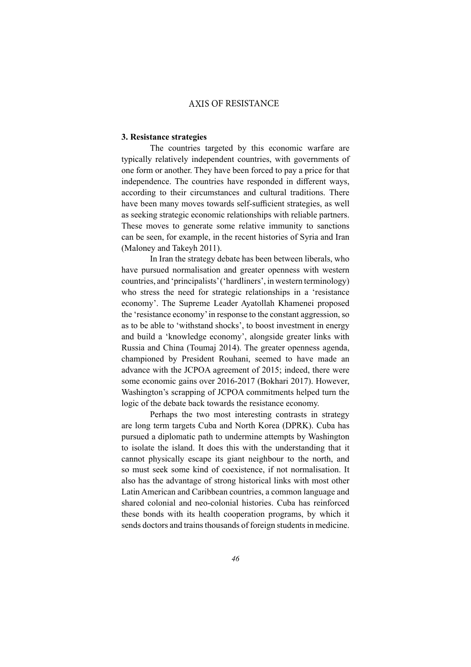#### **3. Resistance strategies**

The countries targeted by this economic warfare are typically relatively independent countries, with governments of one form or another. They have been forced to pay a price for that independence. The countries have responded in different ways, according to their circumstances and cultural traditions. There have been many moves towards self-sufficient strategies, as well as seeking strategic economic relationships with reliable partners. These moves to generate some relative immunity to sanctions can be seen, for example, in the recent histories of Syria and Iran (Maloney and Takevh 2011).

In Iran the strategy debate has been between liberals, who have pursued normalisation and greater openness with western countries, and 'principalists' ('hardliners', in western terminology) who stress the need for strategic relationships in a 'resistance economy'. The Supreme Leader Ayatollah Khamenei proposed the 'resistance economy' in response to the constant aggression, so as to be able to 'withstand shocks', to boost investment in energy and build a 'knowledge economy', alongside greater links with Russia and China (Toumaj 2014). The greater openness agenda, championed by President Rouhani, seemed to have made an advance with the JCPOA agreement of 2015; indeed, there were some economic gains over 2016-2017 (Bokhari 2017). However, Washington's scrapping of JCPOA commitments helped turn the logic of the debate back towards the resistance economy.

Perhaps the two most interesting contrasts in strategy are long term targets Cuba and North Korea (DPRK). Cuba has pursued a diplomatic path to undermine attempts by Washington to isolate the island. It does this with the understanding that it cannot physically escape its giant neighbour to the north, and so must seek some kind of coexistence, if not normalisation. It also has the advantage of strong historical links with most other Latin American and Caribbean countries, a common language and shared colonial and neo-colonial histories. Cuba has reinforced these bonds with its health cooperation programs, by which it sends doctors and trains thousands of foreign students in medicine.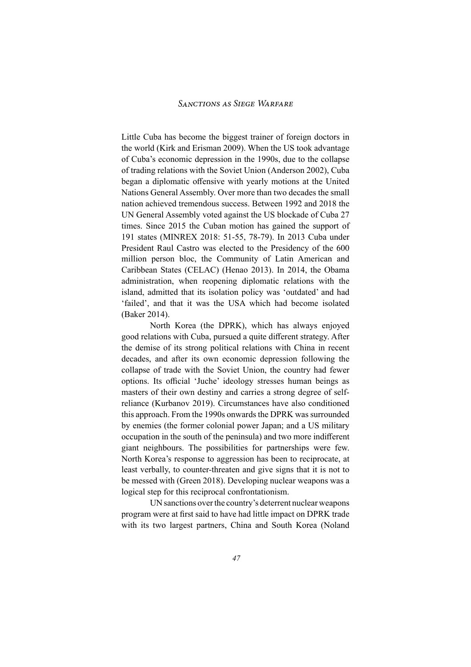Little Cuba has become the biggest trainer of foreign doctors in the world (Kirk and Erisman 2009). When the US took advantage of Cuba's economic depression in the 1990s, due to the collapse of trading relations with the Soviet Union (Anderson 2002), Cuba began a diplomatic offensive with yearly motions at the United Nations General Assembly. Over more than two decades the small nation achieved tremendous success. Between 1992 and 2018 the UN General Assembly voted against the US blockade of Cuba 27 times. Since 2015 the Cuban motion has gained the support of 191 states (MINREX 2018: 51-55, 78-79). In 2013 Cuba under President Raul Castro was elected to the Presidency of the 600 million person bloc, the Community of Latin American and Caribbean States (CELAC) (Henao 2013). In 2014, the Obama administration, when reopening diplomatic relations with the island, admitted that its isolation policy was 'outdated' and had 'failed', and that it was the USA which had become isolated (Baker 2014).

North Korea (the DPRK), which has always enjoyed good relations with Cuba, pursued a quite different strategy. After the demise of its strong political relations with China in recent decades, and after its own economic depression following the collapse of trade with the Soviet Union, the country had fewer options. Its official 'Juche' ideology stresses human beings as masters of their own destiny and carries a strong degree of selfreliance (Kurbanov 2019). Circumstances have also conditioned this approach. From the 1990s onwards the DPRK was surrounded by enemies (the former colonial power Japan; and a US military occupation in the south of the peninsula) and two more indifferent giant neighbours. The possibilities for partnerships were few. North Korea's response to aggression has been to reciprocate, at least verbally, to counter-threaten and give signs that it is not to be messed with (Green 2018). Developing nuclear weapons was a logical step for this reciprocal confrontationism.

UN sanctions over the country's deterrent nuclear weapons program were at first said to have had little impact on DPRK trade with its two largest partners, China and South Korea (Noland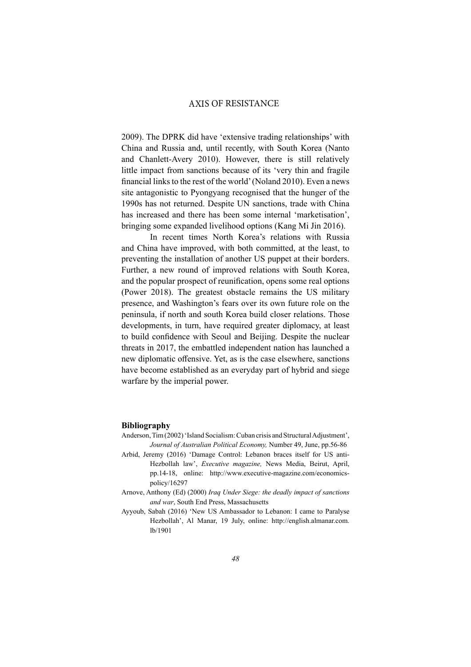2009). The DPRK did have 'extensive trading relationships' with China and Russia and, until recently, with South Korea (Nanto and Chanlett-Avery 2010). However, there is still relatively little impact from sanctions because of its 'very thin and fragile financial links to the rest of the world' (Noland 2010). Even a news site antagonistic to Pyongyang recognised that the hunger of the 1990s has not returned. Despite UN sanctions, trade with China has increased and there has been some internal 'marketisation', bringing some expanded livelihood options (Kang Mi Jin 2016).

In recent times North Korea's relations with Russia and China have improved, with both committed, at the least, to preventing the installation of another US puppet at their borders. Further, a new round of improved relations with South Korea, and the popular prospect of reunification, opens some real options (Power 2018). The greatest obstacle remains the US military presence, and Washington's fears over its own future role on the peninsula, if north and south Korea build closer relations. Those developments, in turn, have required greater diplomacy, at least to build confidence with Seoul and Beijing. Despite the nuclear threats in 2017, the embattled independent nation has launched a new diplomatic offensive. Yet, as is the case elsewhere, sanctions have become established as an everyday part of hybrid and siege warfare by the imperial power.

#### **Bibliography**

- Anderson, Tim (2002) 'Island Socialism: Cuban crisis and Structural Adjustment', *Journal of Australian Political Economy, Number 49, June, pp.56-86*
- Arbid, Jeremy (2016) 'Damage Control: Lebanon braces itself for US anti-Hezbollah law', Executive magazine, News Media, Beirut, April, pp.14-18, online: http://www.executive-magazine.com/economicspolicy/16297
- Arnove, Anthony (Ed) (2000) Iraq Under Siege: the deadly impact of sanctions *and war*, South End Press, Massachusetts
- Ayyoub, Sabah (2016) 'New US Ambassador to Lebanon: I came to Paralyse Hezbollah', Al Manar, 19 July, online: http://english.almanar.com.  $1b/1901$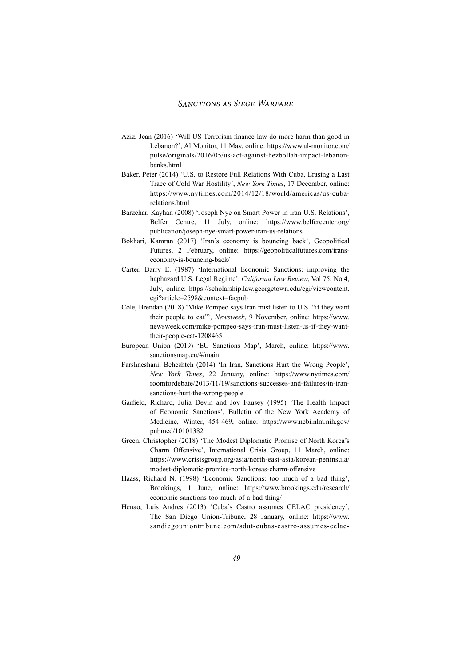- Aziz, Jean (2016) 'Will US Terrorism finance law do more harm than good in Lebanon?', Al Monitor, 11 May, online: https://www.al-monitor.com/ pulse/originals/2016/05/us-act-against-hezbollah-impact-lebanonbanks.html
- Baker, Peter (2014) 'U.S. to Restore Full Relations With Cuba, Erasing a Last Trace of Cold War Hostility', New York Times, 17 December, online: https://www.nytimes.com/2014/12/18/world/americas/us-cubarelations.html
- Barzehar, Kayhan (2008) 'Joseph Nye on Smart Power in Iran-U.S. Relations', Belfer Centre, 11 July, online: https://www.belfercenter.org/ publication/joseph-nye-smart-power-iran-us-relations
- Bokhari, Kamran (2017) 'Iran's economy is bouncing back', Geopolitical Futures, 2 February, online: https://geopoliticalfutures.com/iranseconomy-is-bouncing-back/
- Carter, Barry E. (1987) 'International Economic Sanctions: improving the haphazard U.S. Legal Regime', California Law Review, Vol 75, No 4, July, online: https://scholarship.law.georgetown.edu/cgi/viewcontent. cgi?article=2598&context=facpub
- Cole, Brendan (2018) 'Mike Pompeo says Iran mist listen to U.S. "if they want their people to eat"', *Newsweek*, 9 November, online: https://www. newsweek.com/mike-pompeo-says-iran-must-listen-us-if-they-wanttheir-people-eat-1208465
- European Union (2019) 'EU Sanctions Map', March, online: https://www. sanctionsmap.eu/#/main
- Farshneshani, Beheshteh (2014) 'In Iran, Sanctions Hurt the Wrong People', *New York Times*, 22 January, online: https://www.nytimes.com/ roomfordebate/2013/11/19/sanctions-successes-and-failures/in-iransanctions-hurt-the-wrong-people
- Garfield, Richard, Julia Devin and Joy Fausey (1995) 'The Health Impact of Economic Sanctions', Bulletin of the New York Academy of Medicine, Winter, 454-469, online: https://www.ncbi.nlm.nih.gov/ pubmed/10101382
- Green, Christopher (2018) 'The Modest Diplomatic Promise of North Korea's Charm Offensive', International Crisis Group, 11 March, online: https://www.crisisgroup.org/asia/north-east-asia/korean-peninsula/ modest-diplomatic-promise-north-koreas-charm-offensive
- Haass, Richard N. (1998) 'Economic Sanctions: too much of a bad thing', Brookings, 1 June, online: https://www.brookings.edu/research/ economic-sanctions-too-much-of-a-bad-thing/
- Henao, Luis Andres (2013) 'Cuba's Castro assumes CELAC presidency', The San Diego Union-Tribune, 28 January, online: https://www. sandiegouniontribune.com/sdut-cubas-castro-assumes-celac-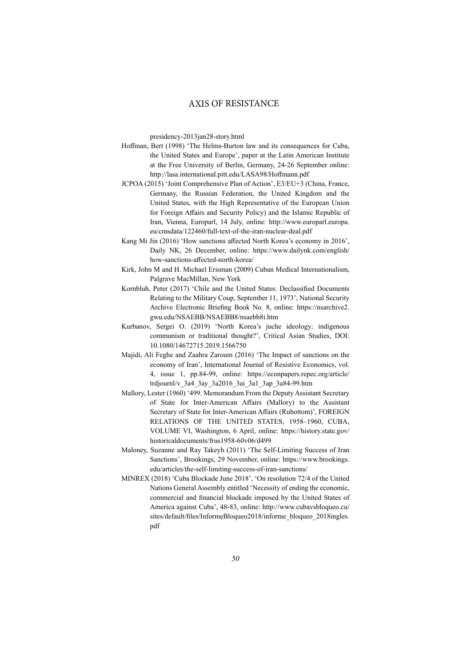presidency-2013jan28-story.html

- Hoffman, Bert (1998) 'The Helms-Burton law and its consequences for Cuba, the United States and Europe', paper at the Latin American Institute at the Free University of Berlin, Germany, 24-26 September online: http://lasa.international.pitt.edu/LASA98/Hoffmann.pdf
- JCPOA (2015) 'Joint Comprehensive Plan of Action', E3/EU+3 (China, France, Germany, the Russian Federation, the United Kingdom and the United States, with the High Representative of the European Union for Foreign Affairs and Security Policy) and the Islamic Republic of Iran, Vienna, Europarl, 14 July, online: http://www.europarl.europa. eu/cmsdata/122460/full-text-of-the-iran-nuclear-deal.pdf
- Kang Mi Jin (2016) 'How sanctions affected North Korea's economy in 2016', Daily NK, 26 December, online: https://www.dailynk.com/english/ how-sanctions-affected-north-korea/
- Kirk, John M and H. Michael Erisman (2009) Cuban Medical Internationalism, Palgrave MacMillan, New York
- Kornbluh, Peter (2017) 'Chile and the United States: Declassified Documents Relating to the Military Coup, September 11, 1973', National Security Archive Electronic Briefing Book No. 8, online: https://nsarchive2. gwu.edu/NSAEBB/NSAEBB8/nsaebb8i.htm
- Kurbanov, Sergei O. (2019) 'North Korea's juche ideology: indigenous communism or traditional thought?', Critical Asian Studies, DOI: 10.1080/14672715.2019.1566750
- Majidi, Ali Feghe and Zaahra Zaroum (2016) 'The Impact of sanctions on the economy of Iran', International Journal of Resistive Economics, vol. 4, issue 1, pp.84-99, online: https://econpapers.repec.org/article/ trdjournl/v 3a4 3ay 3a2016 3ai 3a1 3ap 3a84-99.htm
- Mallory, Lester (1960) '499. Memorandum From the Deputy Assistant Secretary of State for Inter-American Affairs (Mallory) to the Assistant Secretary of State for Inter-American Affairs (Rubottom)', FOREIGN RELATIONS OF THE UNITED STATES, 1958-1960, CUBA, VOLUME VI, Washington, 6 April, online: https://history.state.gov/ historicaldocuments/frus1958-60v06/d499
- Maloney, Suzanne and Ray Takeyh (2011) 'The Self-Limiting Success of Iran Sanctions', Brookings, 29 November, online: https://www.brookings. edu/articles/the-self-limiting-success-of-iran-sanctions/
- MINREX (2018) 'Cuba Blockade June 2018', 'On resolution 72/4 of the United Nations General Assembly entitled 'Necessity of ending the economic, commercial and financial blockade imposed by the United States of America against Cuba', 48-83, online: http://www.cubavsbloqueo.cu/ sites/default/files/InformeBloqueo2018/informe bloqueo 2018ingles. pdf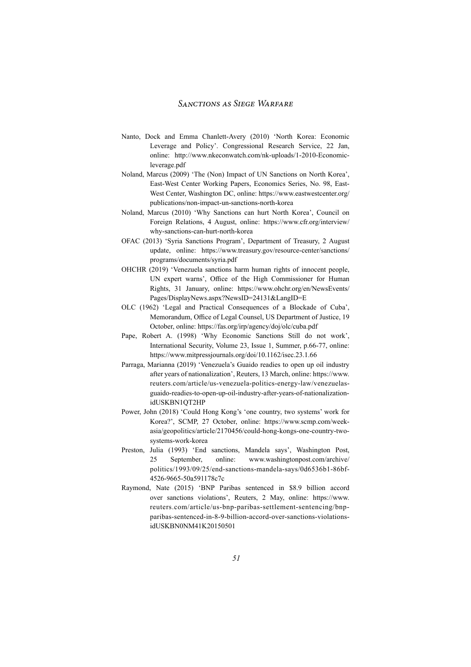- Nanto, Dock and Emma Chanlett-Avery (2010) 'North Korea: Economic Leverage and Policy'. Congressional Research Service, 22 Jan, online: http://www.nkeconwatch.com/nk-uploads/1-2010-Economicleverage.pdf
- Noland, Marcus (2009) 'The (Non) Impact of UN Sanctions on North Korea', East-West Center Working Papers, Economics Series, No. 98, East-West Center, Washington DC, online: https://www.eastwestcenter.org/ publications/non-impact-un-sanctions-north-korea
- Noland, Marcus (2010) 'Why Sanctions can hurt North Korea', Council on Foreign Relations, 4 August, online: https://www.cfr.org/interview/ why-sanctions-can-hurt-north-korea
- OFAC (2013) 'Syria Sanctions Program', Department of Treasury, 2 August update, online: https://www.treasury.gov/resource-center/sanctions/ programs/documents/syria.pdf
- OHCHR (2019) 'Venezuela sanctions harm human rights of innocent people, UN expert warns', Office of the High Commissioner for Human Rights, 31 January, online: https://www.ohchr.org/en/NewsEvents/ Pages/DisplayNews.aspx?NewsID=24131&LangID=E
- OLC (1962) 'Legal and Practical Consequences of a Blockade of Cuba', Memorandum, Office of Legal Counsel, US Department of Justice, 19 October, online: https://fas.org/irp/agency/doj/olc/cuba.pdf
- Pape, Robert A. (1998) 'Why Economic Sanctions Still do not work', International Security, Volume 23, Issue 1, Summer, p.66-77, online: https://www.mitpressjournals.org/doi/10.1162/isec.23.1.66
- Parraga, Marianna (2019) 'Venezuela's Guaido readies to open up oil industry after years of nationalization', Reuters, 13 March, online: https://www. reuters.com/article/us-venezuela-politics-energy-law/venezuelasguaido-readies-to-open-up-oil-industry-after-years-of-nationalizationidUSKBN1QT2HP
- Power, John (2018) 'Could Hong Kong's 'one country, two systems' work for Korea?', SCMP, 27 October, online: https://www.scmp.com/weekasia/geopolitics/article/2170456/could-hong-kongs-one-country-twosystems-work-korea
- Preston, Julia (1993) 'End sanctions, Mandela says', Washington Post, 25 September, online: www.washingtonpost.com/archive/ politics/1993/09/25/end-sanctions-mandela-says/0d6536b1-86bf-4526-9665-50a591178c7c
- Raymond, Nate (2015) 'BNP Paribas sentenced in \$8.9 billion accord over sanctions violations', Reuters, 2 May, online: https://www. reuters.com/article/us-bnp-paribas-settlement-sentencing/bnpparibas-sentenced-in-8-9-billion-accord-over-sanctions-violationsidUSKBN0NM41K20150501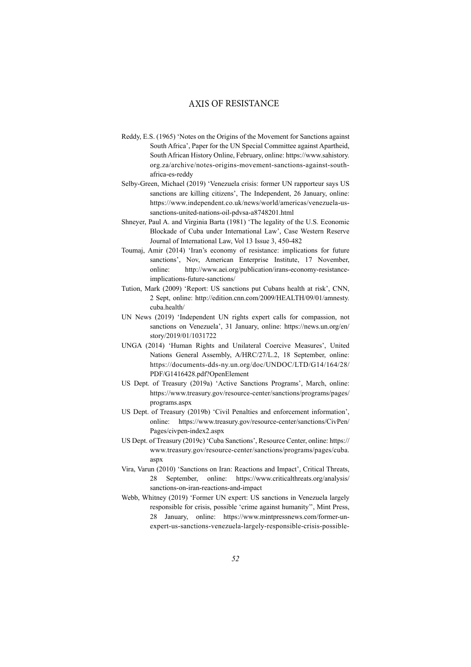- Reddy, E.S. (1965) 'Notes on the Origins of the Movement for Sanctions against South Africa', Paper for the UN Special Committee against Apartheid, South African History Online, February, online: https://www.sahistory. org.za/archive/notes-origins-movement-sanctions-against-southafrica-es-reddy
- Selby-Green, Michael (2019) 'Venezuela crisis: former UN rapporteur says US sanctions are killing citizens', The Independent, 26 January, online: https://www.independent.co.uk/news/world/americas/venezuela-ussanctions-united-nations-oil-pdvsa-a8748201.html
- Shneyer, Paul A. and Virginia Barta (1981) 'The legality of the U.S. Economic Blockade of Cuba under International Law', Case Western Reserve Journal of International Law, Vol 13 Issue 3, 450-482
- Toumaj, Amir (2014) 'Iran's economy of resistance: implications for future sanctions', Nov, American Enterprise Institute, 17 November, online: http://www.aei.org/publication/irans-economy-resistanceimplications-future-sanctions/
- Tution, Mark (2009) 'Report: US sanctions put Cubans health at risk', CNN, 2 Sept, online: http://edition.cnn.com/2009/HEALTH/09/01/amnesty. cuba.health/
- UN News (2019) 'Independent UN rights expert calls for compassion, not sanctions on Venezuela', 31 January, online: https://news.un.org/en/ story/2019/01/1031722
- UNGA (2014) 'Human Rights and Unilateral Coercive Measures', United Nations General Assembly, A/HRC/27/L.2, 18 September, online: https://documents-dds-ny.un.org/doc/UNDOC/LTD/G14/164/28/ PDF/G1416428.pdf?OpenElement
- US Dept. of Treasury (2019a) 'Active Sanctions Programs', March, online: https://www.treasury.gov/resource-center/sanctions/programs/pages/ programs.aspx
- US Dept. of Treasury (2019b) 'Civil Penalties and enforcement information', online: https://www.treasury.gov/resource-center/sanctions/CivPen/ Pages/civpen-index2.aspx
- US Dept. of Treasury (2019c) 'Cuba Sanctions', Resource Center, online: https:// www.treasury.gov/resource-center/sanctions/programs/pages/cuba. aspx
- Vira, Varun (2010) 'Sanctions on Iran: Reactions and Impact', Critical Threats, 28 September, online: https://www.criticalthreats.org/analysis/ sanctions-on-iran-reactions-and-impact
- Webb, Whitney (2019) 'Former UN expert: US sanctions in Venezuela largely responsible for crisis, possible 'crime against humanity'', Mint Press, 28 January, online: https://www.mintpressnews.com/former-unexpert-us-sanctions-venezuela-largely-responsible-crisis-possible-